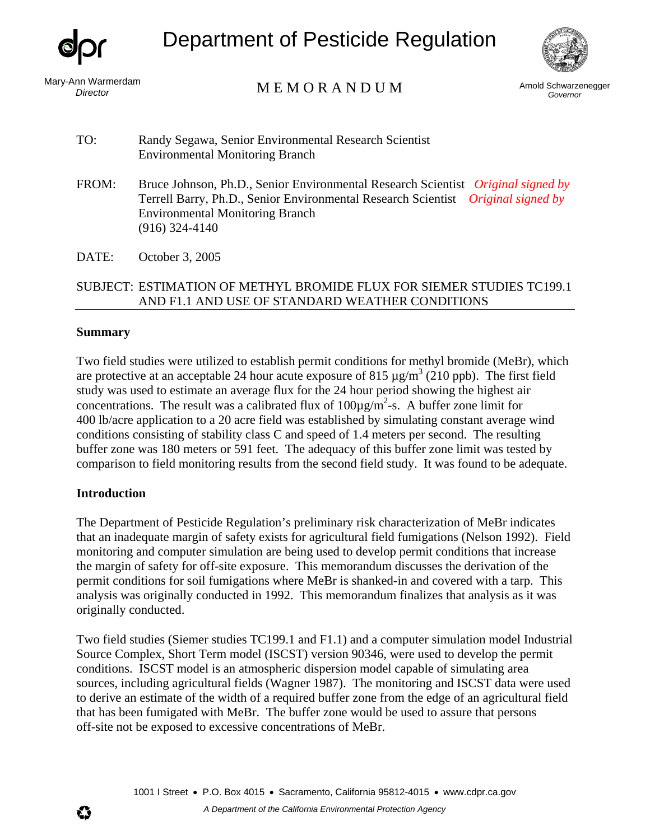

Department of Pesticide Regulation



Mary-Ann Warmerdam

nn warmerdam<br>Director **E M O R A N D U M** Arnold Schwarzenegger

*Governor* 

TO: Randy Segawa, Senior Environmental Research Scientist Environmental Monitoring Branch

- FROM: Bruce Johnson, Ph.D., Senior Environmental Research Scientist *Original signed by* Terrell Barry, Ph.D., Senior Environmental Research Scientist *Original signed by* Environmental Monitoring Branch (916) 324-4140
- DATE: October 3, 2005

# SUBJECT: ESTIMATION OF METHYL BROMIDE FLUX FOR SIEMER STUDIES TC199.1 AND F1.1 AND USE OF STANDARD WEATHER CONDITIONS

### **Summary**

Two field studies were utilized to establish permit conditions for methyl bromide (MeBr), which are protective at an acceptable 24 hour acute exposure of 815  $\mu$ g/m<sup>3</sup> (210 ppb). The first field study was used to estimate an average flux for the 24 hour period showing the highest air concentrations. The result was a calibrated flux of  $100\mu\text{g/m}^2$ -s. A buffer zone limit for 400 lb/acre application to a 20 acre field was established by simulating constant average wind conditions consisting of stability class C and speed of 1.4 meters per second. The resulting buffer zone was 180 meters or 591 feet. The adequacy of this buffer zone limit was tested by comparison to field monitoring results from the second field study. It was found to be adequate.

# **Introduction**

The Department of Pesticide Regulation's preliminary risk characterization of MeBr indicates that an inadequate margin of safety exists for agricultural field fumigations (Nelson 1992). Field monitoring and computer simulation are being used to develop permit conditions that increase the margin of safety for off-site exposure. This memorandum discusses the derivation of the permit conditions for soil fumigations where MeBr is shanked-in and covered with a tarp. This analysis was originally conducted in 1992. This memorandum finalizes that analysis as it was originally conducted.

Two field studies (Siemer studies TC199.1 and F1.1) and a computer simulation model Industrial Source Complex, Short Term model (ISCST) version 90346, were used to develop the permit conditions. ISCST model is an atmospheric dispersion model capable of simulating area sources, including agricultural fields (Wagner 1987). The monitoring and ISCST data were used to derive an estimate of the width of a required buffer zone from the edge of an agricultural field that has been fumigated with MeBr. The buffer zone would be used to assure that persons off-site not be exposed to excessive concentrations of MeBr.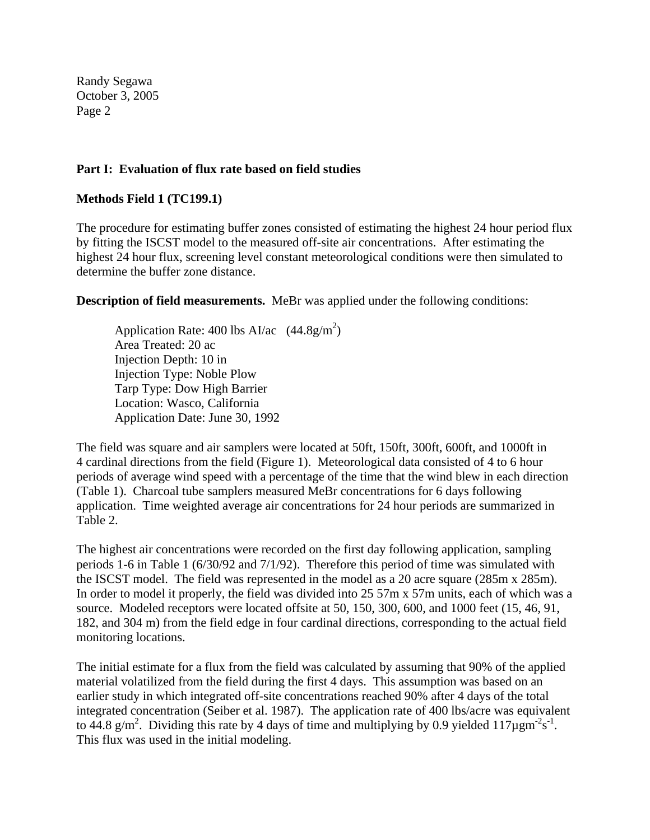### **Part I: Evaluation of flux rate based on field studies**

### **Methods Field 1 (TC199.1)**

The procedure for estimating buffer zones consisted of estimating the highest 24 hour period flux by fitting the ISCST model to the measured off-site air concentrations. After estimating the highest 24 hour flux, screening level constant meteorological conditions were then simulated to determine the buffer zone distance.

**Description of field measurements.** MeBr was applied under the following conditions:

Application Rate: 400 lbs AI/ac  $(44.8g/m^2)$ Area Treated: 20 ac Injection Depth: 10 in Injection Type: Noble Plow Tarp Type: Dow High Barrier Location: Wasco, California Application Date: June 30, 1992

The field was square and air samplers were located at 50ft, 150ft, 300ft, 600ft, and 1000ft in 4 cardinal directions from the field (Figure 1). Meteorological data consisted of 4 to 6 hour periods of average wind speed with a percentage of the time that the wind blew in each direction (Table 1). Charcoal tube samplers measured MeBr concentrations for 6 days following application. Time weighted average air concentrations for 24 hour periods are summarized in Table 2.

The highest air concentrations were recorded on the first day following application, sampling periods 1-6 in Table 1 (6/30/92 and 7/1/92). Therefore this period of time was simulated with the ISCST model. The field was represented in the model as a 20 acre square (285m x 285m). In order to model it properly, the field was divided into 25 57m x 57m units, each of which was a source. Modeled receptors were located offsite at 50, 150, 300, 600, and 1000 feet (15, 46, 91, 182, and 304 m) from the field edge in four cardinal directions, corresponding to the actual field monitoring locations.

The initial estimate for a flux from the field was calculated by assuming that 90% of the applied material volatilized from the field during the first 4 days. This assumption was based on an earlier study in which integrated off-site concentrations reached 90% after 4 days of the total integrated concentration (Seiber et al. 1987). The application rate of 400 lbs/acre was equivalent to 44.8 g/m<sup>2</sup>. Dividing this rate by 4 days of time and multiplying by 0.9 yielded 117 $\mu$ gm<sup>-2</sup>s<sup>-1</sup>. This flux was used in the initial modeling.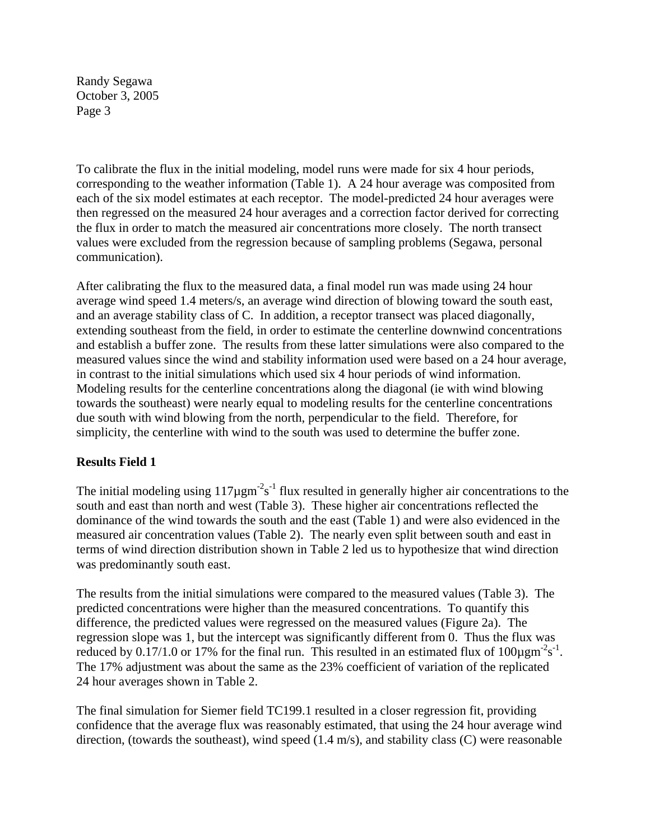To calibrate the flux in the initial modeling, model runs were made for six 4 hour periods, corresponding to the weather information (Table 1). A 24 hour average was composited from each of the six model estimates at each receptor. The model-predicted 24 hour averages were then regressed on the measured 24 hour averages and a correction factor derived for correcting the flux in order to match the measured air concentrations more closely. The north transect values were excluded from the regression because of sampling problems (Segawa, personal communication).

After calibrating the flux to the measured data, a final model run was made using 24 hour average wind speed 1.4 meters/s, an average wind direction of blowing toward the south east, and an average stability class of C. In addition, a receptor transect was placed diagonally, extending southeast from the field, in order to estimate the centerline downwind concentrations and establish a buffer zone. The results from these latter simulations were also compared to the measured values since the wind and stability information used were based on a 24 hour average, in contrast to the initial simulations which used six 4 hour periods of wind information. Modeling results for the centerline concentrations along the diagonal (ie with wind blowing towards the southeast) were nearly equal to modeling results for the centerline concentrations due south with wind blowing from the north, perpendicular to the field. Therefore, for simplicity, the centerline with wind to the south was used to determine the buffer zone.

# **Results Field 1**

The initial modeling using  $117\mu\text{gm}^2\text{s}^{-1}$  flux resulted in generally higher air concentrations to the south and east than north and west (Table 3). These higher air concentrations reflected the dominance of the wind towards the south and the east (Table 1) and were also evidenced in the measured air concentration values (Table 2). The nearly even split between south and east in terms of wind direction distribution shown in Table 2 led us to hypothesize that wind direction was predominantly south east.

The results from the initial simulations were compared to the measured values (Table 3). The predicted concentrations were higher than the measured concentrations. To quantify this difference, the predicted values were regressed on the measured values (Figure 2a). The regression slope was 1, but the intercept was significantly different from 0. Thus the flux was reduced by 0.17/1.0 or 17% for the final run. This resulted in an estimated flux of 100 $\mu$ gm<sup>-2</sup>s<sup>-1</sup>. The 17% adjustment was about the same as the 23% coefficient of variation of the replicated 24 hour averages shown in Table 2.

The final simulation for Siemer field TC199.1 resulted in a closer regression fit, providing confidence that the average flux was reasonably estimated, that using the 24 hour average wind direction, (towards the southeast), wind speed (1.4 m/s), and stability class (C) were reasonable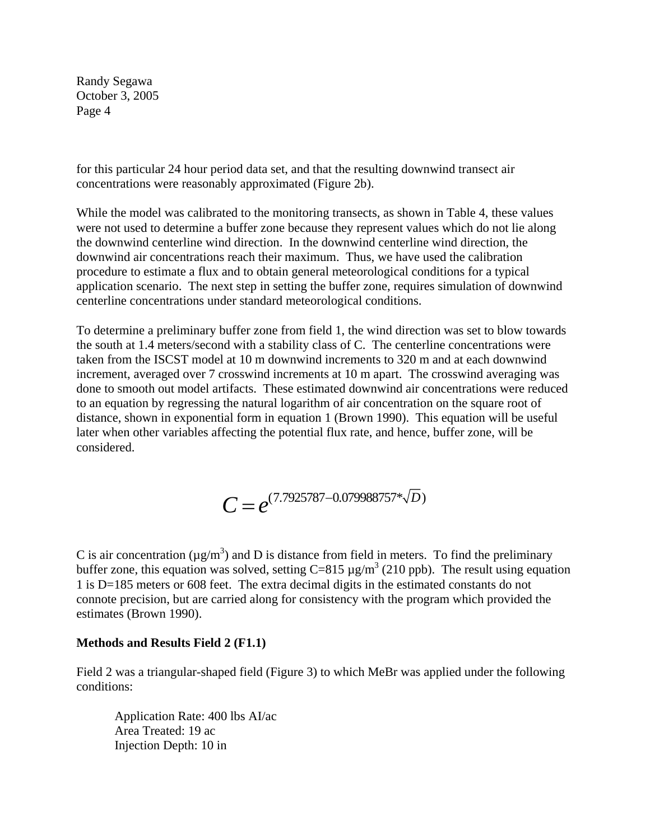for this particular 24 hour period data set, and that the resulting downwind transect air concentrations were reasonably approximated (Figure 2b).

While the model was calibrated to the monitoring transects, as shown in Table 4, these values were not used to determine a buffer zone because they represent values which do not lie along the downwind centerline wind direction. In the downwind centerline wind direction, the downwind air concentrations reach their maximum. Thus, we have used the calibration procedure to estimate a flux and to obtain general meteorological conditions for a typical application scenario. The next step in setting the buffer zone, requires simulation of downwind centerline concentrations under standard meteorological conditions.

To determine a preliminary buffer zone from field 1, the wind direction was set to blow towards the south at 1.4 meters/second with a stability class of C. The centerline concentrations were taken from the ISCST model at 10 m downwind increments to 320 m and at each downwind increment, averaged over 7 crosswind increments at 10 m apart. The crosswind averaging was done to smooth out model artifacts. These estimated downwind air concentrations were reduced to an equation by regressing the natural logarithm of air concentration on the square root of distance, shown in exponential form in equation 1 (Brown 1990). This equation will be useful later when other variables affecting the potential flux rate, and hence, buffer zone, will be considered.

$$
C = e^{(7.7925787 - 0.079988757 \cdot \sqrt{D})}
$$

C is air concentration ( $\mu$ g/m<sup>3</sup>) and D is distance from field in meters. To find the preliminary buffer zone, this equation was solved, setting  $C=815 \mu g/m^3$  (210 ppb). The result using equation 1 is D=185 meters or 608 feet. The extra decimal digits in the estimated constants do not connote precision, but are carried along for consistency with the program which provided the estimates (Brown 1990).

#### **Methods and Results Field 2 (F1.1)**

Field 2 was a triangular-shaped field (Figure 3) to which MeBr was applied under the following conditions:

Application Rate: 400 lbs AI/ac Area Treated: 19 ac Injection Depth: 10 in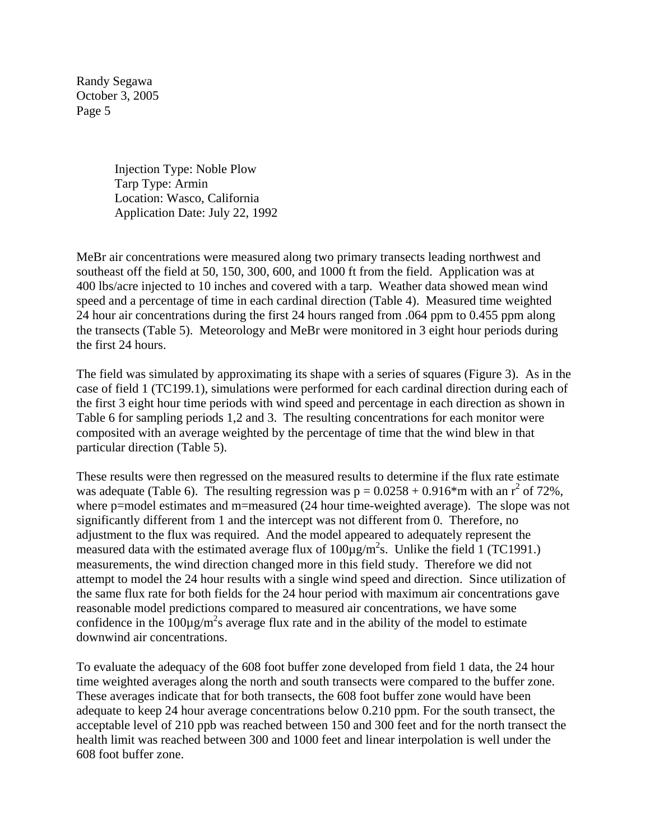> Injection Type: Noble Plow Tarp Type: Armin Location: Wasco, California Application Date: July 22, 1992

MeBr air concentrations were measured along two primary transects leading northwest and southeast off the field at 50, 150, 300, 600, and 1000 ft from the field. Application was at 400 lbs/acre injected to 10 inches and covered with a tarp. Weather data showed mean wind speed and a percentage of time in each cardinal direction (Table 4). Measured time weighted 24 hour air concentrations during the first 24 hours ranged from .064 ppm to 0.455 ppm along the transects (Table 5). Meteorology and MeBr were monitored in 3 eight hour periods during the first 24 hours.

The field was simulated by approximating its shape with a series of squares (Figure 3). As in the case of field 1 (TC199.1), simulations were performed for each cardinal direction during each of the first 3 eight hour time periods with wind speed and percentage in each direction as shown in Table 6 for sampling periods 1,2 and 3. The resulting concentrations for each monitor were composited with an average weighted by the percentage of time that the wind blew in that particular direction (Table 5).

These results were then regressed on the measured results to determine if the flux rate estimate was adequate (Table 6). The resulting regression was  $p = 0.0258 + 0.916*$ m with an  $r^2$  of 72%, where p=model estimates and m=measured (24 hour time-weighted average). The slope was not significantly different from 1 and the intercept was not different from 0. Therefore, no adjustment to the flux was required. And the model appeared to adequately represent the measured data with the estimated average flux of  $100 \mu g/m^2 s$ . Unlike the field 1 (TC1991.) measurements, the wind direction changed more in this field study. Therefore we did not attempt to model the 24 hour results with a single wind speed and direction. Since utilization of the same flux rate for both fields for the 24 hour period with maximum air concentrations gave reasonable model predictions compared to measured air concentrations, we have some confidence in the  $100\mu\text{g/m}^2$ s average flux rate and in the ability of the model to estimate downwind air concentrations.

To evaluate the adequacy of the 608 foot buffer zone developed from field 1 data, the 24 hour time weighted averages along the north and south transects were compared to the buffer zone. These averages indicate that for both transects, the 608 foot buffer zone would have been adequate to keep 24 hour average concentrations below 0.210 ppm. For the south transect, the acceptable level of 210 ppb was reached between 150 and 300 feet and for the north transect the health limit was reached between 300 and 1000 feet and linear interpolation is well under the 608 foot buffer zone.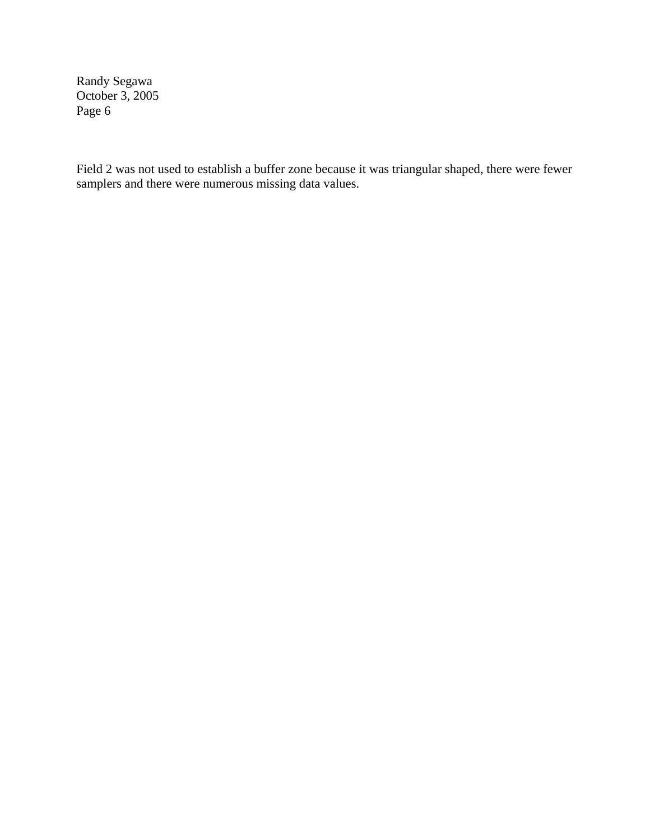Field 2 was not used to establish a buffer zone because it was triangular shaped, there were fewer samplers and there were numerous missing data values.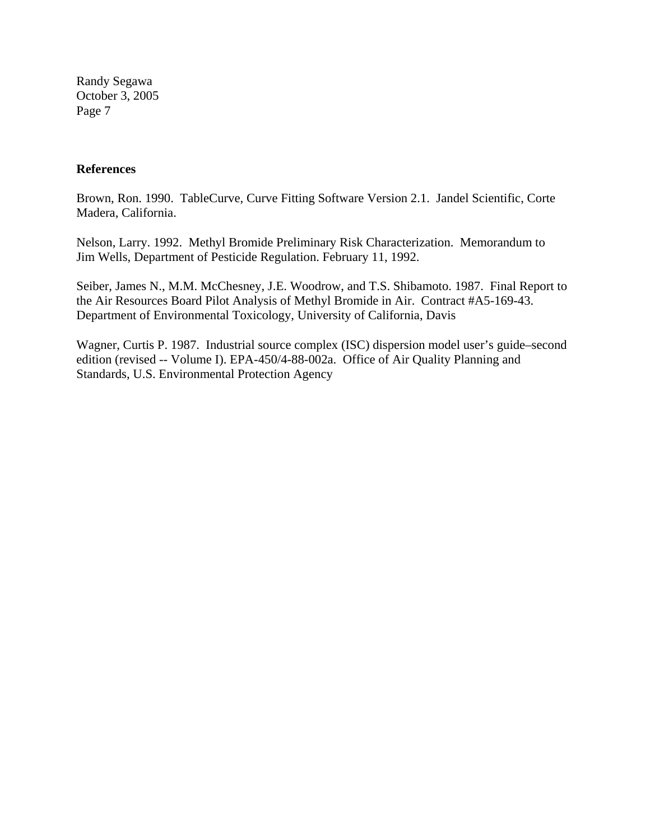#### **References**

Brown, Ron. 1990. TableCurve, Curve Fitting Software Version 2.1. Jandel Scientific, Corte Madera, California.

Nelson, Larry. 1992. Methyl Bromide Preliminary Risk Characterization. Memorandum to Jim Wells, Department of Pesticide Regulation. February 11, 1992.

Seiber, James N., M.M. McChesney, J.E. Woodrow, and T.S. Shibamoto. 1987. Final Report to the Air Resources Board Pilot Analysis of Methyl Bromide in Air. Contract #A5-169-43. Department of Environmental Toxicology, University of California, Davis

Wagner, Curtis P. 1987. Industrial source complex (ISC) dispersion model user's guide–second edition (revised -- Volume I). EPA-450/4-88-002a. Office of Air Quality Planning and Standards, U.S. Environmental Protection Agency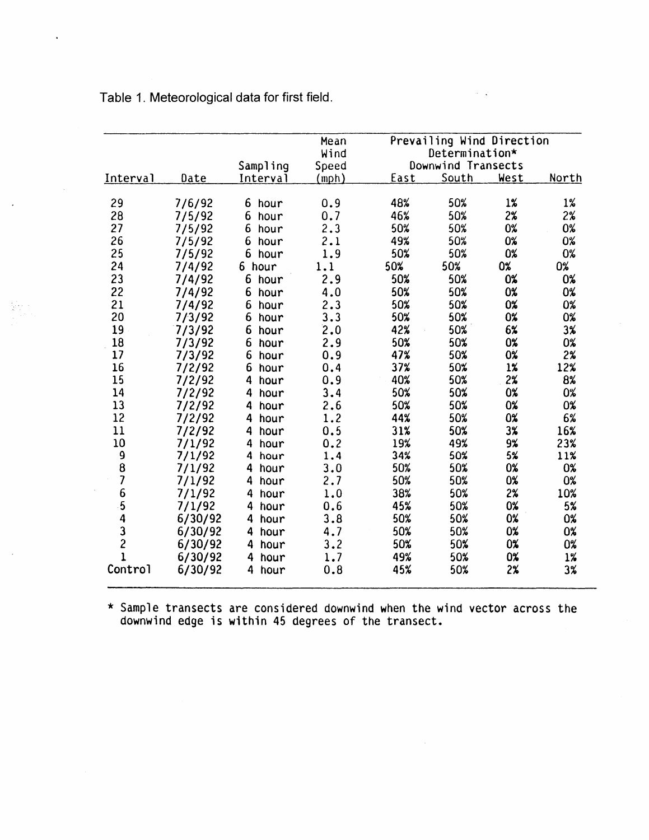|                          |         |           | Mean  |      | Prevailing Wind Direction |           |       |
|--------------------------|---------|-----------|-------|------|---------------------------|-----------|-------|
|                          |         |           | Wind  |      | Determination*            |           |       |
|                          |         | Sampling  | Speed |      | Downwind Transects        |           |       |
| Interval                 | Date    | Interval  | mph)  | East | South                     | West      | North |
| 29                       | 7/6/92  | 6 hour    | 0.9   | 48%  | 50%                       | 1%        | $1\%$ |
| 28                       | 7/5/92  | 6<br>hour | 0.7   | 46%  | 50%                       | 2%        | 2%    |
| 27                       | 7/5/92  | 6<br>hour | 2.3   | 50%  | 50%                       | 0%        | 0%    |
| 26                       | 7/5/92  | 6<br>hour | 2.1   | 49%  | 50%                       | 0%        | 0%    |
| 25                       | 7/5/92  | 6<br>hour | 1.9   | 50%  | 50%                       | 0%        | 0%    |
| 24                       | 7/4/92  | 6<br>hour | 1.1   | 50%  | 50%                       | 0%        | 0%    |
| 23                       | 7/4/92  | 6<br>hour | 2.9   | 50%  | 50%                       | 0%        | 0%    |
| 22                       | 7/4/92  | 6<br>hour | 4.0   | 50%  | 50%                       | 0%        | 0%    |
| 21                       | 7/4/92  | 6<br>hour | 2.3   | 50%  | 50%                       | 0%        | 0%    |
| 20                       | 7/3/92  | 6<br>hour | 3.3   | 50%  | 50%                       | 0%        | 0%    |
| 19                       | 7/3/92  | 6<br>hour | 2.0   | 42%  | 50%                       | 6%        | 3%    |
| 18                       | 7/3/92  | 6<br>hour | 2.9   | 50%  | 50%                       | 0%        | 0%    |
| 17                       | 7/3/92  | 6<br>hour | 0.9   | 47%  | 50%                       | <b>0%</b> | 2%    |
| 16                       | 7/2/92  | 6<br>hour | 0.4   | 37%  | 50%                       | $1\%$     | 12%   |
| 15                       | 7/2/92  | 4<br>hour | 0.9   | 40%  | 50%                       | $2\%$     | 8%    |
| 14                       | 7/2/92  | 4<br>hour | 3.4   | 50%  | 50%                       | 0%        | 0%    |
| 13                       | 7/2/92  | 4<br>hour | 2.6   | 50%  | 50%                       | 0%        | 0%    |
| 12                       | 7/2/92  | 4<br>hour | 1.2   | 44%  | 50%                       | 0%        | 6%    |
| 11                       | 7/2/92  | 4<br>hour | 0.5   | 31%  | 50%                       | $3\%$     | 16%   |
| 10                       | 7/1/92  | 4<br>hour | 0.2   | 19%  | 49%                       | 9%        | 23%   |
| 9                        | 7/1/92  | 4<br>hour | 1.4   | 34%  | 50%                       | 5%        | 11%   |
| 8                        | 7/1/92  | 4<br>hour | 3.0   | 50%  | 50%                       | 0%        | 0%    |
| $\overline{\mathcal{L}}$ | 7/1/92  | 4<br>hour | 2.7   | 50%  | 50%                       | 0%        | 0%    |
| 6                        | 7/1/92  | 4<br>hour | 1.0   | 38%  | 50%                       | 2%        | 10%   |
| 5                        | 7/1/92  | 4<br>hour | 0.6   | 45%  | 50%                       | 0%        | 5%    |
| 4                        | 6/30/92 | 4 hour    | 3.8   | 50%  | 50%                       | 0%        | 0%    |
| $\frac{3}{2}$            | 6/30/92 | 4<br>hour | 4.7   | 50%  | 50%                       | 0%        | 0%    |
|                          | 6/30/92 | 4<br>hour | 3.2   | 50%  | 50%                       | 0%        | 0%    |
| $\mathbf{1}$             | 6/30/92 | 4<br>hour | 1.7   | 49%  | 50%                       | 0%        | 1%    |
| Control                  | 6/30/92 | 4<br>hour | 0.8   | 45%  | 50%                       | 2%        | 3%    |

Table 1. Meteorological data for first field.

 $\ddot{\phantom{a}}$ 

동도

\* Sample transects are considered downwind when the wind vector across the downwind edge is within 45 degrees of the transect.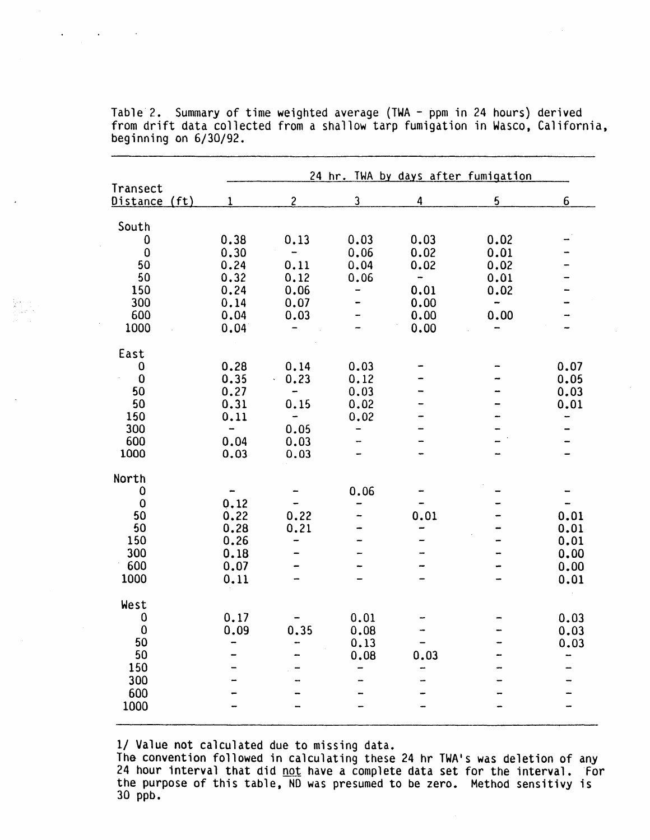|                                                                    |                                                              |                                                                                         |                                      |                                                                                      | 24 hr. TWA by days after fumigation                                           |                                              |
|--------------------------------------------------------------------|--------------------------------------------------------------|-----------------------------------------------------------------------------------------|--------------------------------------|--------------------------------------------------------------------------------------|-------------------------------------------------------------------------------|----------------------------------------------|
| Transect<br>Distance (ft)                                          | 1                                                            | $\overline{c}$                                                                          | $\mathbf{3}$                         | 4                                                                                    | 5                                                                             | 6                                            |
| South<br>0<br>$\bf{0}$<br>50<br>50<br>150<br>300<br>600<br>1000    | 0.38<br>0.30<br>0.24<br>0.32<br>0.24<br>0.14<br>0.04<br>0.04 | 0.13<br>$\qquad \qquad$<br>0.11<br>0.12<br>0.06<br>0.07<br>0.03                         | 0.03<br>0.06<br>0.04<br>0.06<br>-    | 0.03<br>0.02<br>0.02<br>$\qquad \qquad \blacksquare$<br>0.01<br>0.00<br>0.00<br>0.00 | 0.02<br>0.01<br>0.02<br>0.01<br>0.02<br>$\overline{\phantom{a}}$<br>0.00<br>- |                                              |
| East<br>0<br>$\pmb{0}$<br>50<br>50<br>150<br>300<br>600<br>1000    | 0.28<br>0.35<br>0.27<br>0.31<br>0.11<br>-<br>0.04<br>0.03    | 0.14<br>0.23<br>k.<br>$\qquad \qquad \blacksquare$<br>0.15<br>-<br>0.05<br>0.03<br>0.03 | 0.03<br>0.12<br>0.03<br>0.02<br>0.02 |                                                                                      |                                                                               | 0.07<br>0.05<br>0.03<br>0.01                 |
| North<br>0<br>$\mathbf 0$<br>50<br>50<br>150<br>300<br>600<br>1000 | 0.12<br>0.22<br>0.28<br>0.26<br>0.18<br>0.07<br>0.11         | 0.22<br>0.21                                                                            | 0.06                                 | 0.01                                                                                 |                                                                               | 0.01<br>0.01<br>0.01<br>0.00<br>0.00<br>0.01 |
| West<br>0<br>$\bf{0}$<br>50<br>50<br>150<br>300<br>600<br>1000     | 0.17<br>0.09                                                 | 0.35                                                                                    | 0.01<br>0.08<br>0.13<br>0.08         | 0.03                                                                                 |                                                                               | 0.03<br>0.03<br>0.03                         |

Table 2. Summary of time weighted average (TWA - ppm in 24 hours) derived from drift data collected from a shallow tarp fumigation in Wasco, California, beginning on 6/30/92.

1/ Value not calculated due to missing data.

The convention followed in calculating these 24 hr TWA's was deletion of any 24 hour interval that did <u>not</u> have a complete data set for the interval. For the purpose of this table, ND was presumed to be zero. Method sensitivy is 30 ppb.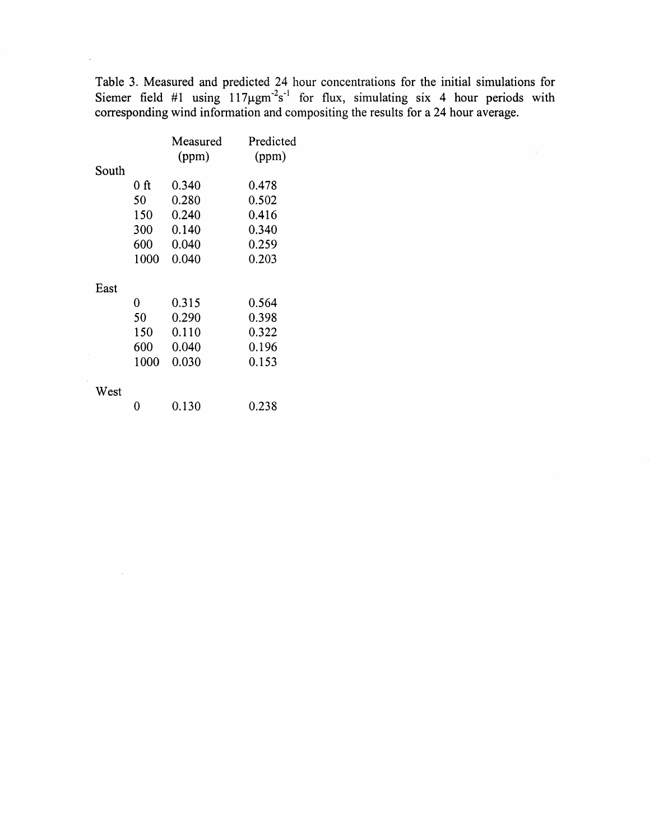Table 3. Measured and predicted 24 hour concentrations for the initial simulations for Siemer field #1 using  $117\mu\text{gm}^2\text{s}^{-1}$  for flux, simulating six 4 hour periods with corresponding wind information and compositing the results for a 24 hour average.

 $\mathcal{A}^{\mathcal{A}}$ 

|       |      | Measured<br>(ppm) | Predicted<br>(ppm) |
|-------|------|-------------------|--------------------|
| South |      |                   |                    |
|       | 0 ft | 0.340             | 0.478              |
|       | 50   | 0.280             | 0.502              |
|       | 150  | 0.240             | 0.416              |
|       | 300  | 0.140             | 0.340              |
|       | 600  | 0.040             | 0.259              |
|       | 1000 | 0.040             | 0.203              |
| East  |      |                   |                    |
|       | 0    | 0.315             | 0.564              |
|       | 50   | 0.290             | 0.398              |
|       | 150  | 0.110             | 0.322              |
|       | 600  | 0.040             | 0.196              |
|       | 1000 | 0.030             | 0.153              |
| West  |      |                   |                    |
|       | 0    | 0.130             | 0.238              |

 $\mathcal{A}$ 

 $\sim$   $\sim$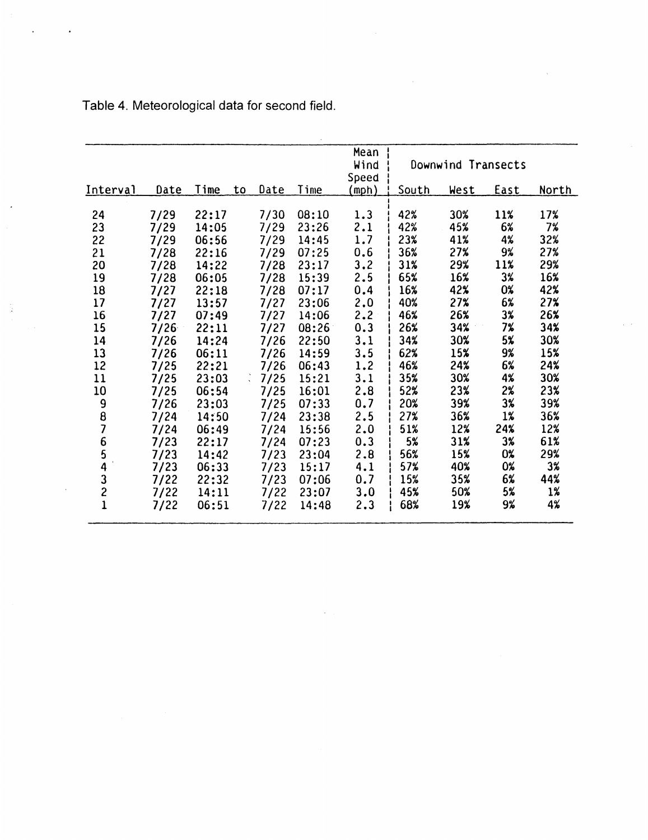|                                            |      |       |    |      |       | Mean<br>Wind  |       | Downwind Transects |             |       |
|--------------------------------------------|------|-------|----|------|-------|---------------|-------|--------------------|-------------|-------|
| Interval                                   | Date | Time  | to | Date | Time  | Speed<br>mph) | South | West               | <u>East</u> | North |
|                                            |      |       |    |      |       |               |       |                    |             |       |
| 24                                         | 7/29 | 22:17 |    | 7/30 | 08:10 | 1.3           | 42%   | 30%                | 11%         | 17%   |
| 23                                         | 7/29 | 14:05 |    | 7/29 | 23:26 | 2.1           | 42%   | 45%                | 6%          | 7%    |
| 22                                         | 7/29 | 06:56 |    | 7/29 | 14:45 | 1.7           | 23%   | 41%                | 4%          | 32%   |
| 21                                         | 7/28 | 22:16 |    | 7/29 | 07:25 | 0.6           | 36%   | 27%                | 9%          | 27%   |
| 20                                         | 7/28 | 14:22 |    | 7/28 | 23:17 | 3.2           | 31%   | 29%                | 11%         | 29%   |
| 19                                         | 7/28 | 06:05 |    | 7/28 | 15:39 | 2.5           | 65%   | 16%                | 3%          | 16%   |
| 18                                         | 7/27 | 22:18 |    | 7/28 | 07:17 | 0.4           | 16%   | 42%                | 0%          | 42%   |
| 17                                         | 7/27 | 13:57 |    | 7/27 | 23:06 | 2.0           | 40%   | 27%                | 6%          | 27%   |
| 16                                         | 7/27 | 07:49 |    | 7/27 | 14:06 | 2.2           | 46%   | 26%                | 3%          | 26%   |
| 15                                         | 7/26 | 22:11 |    | 7/27 | 08:26 | 0.3           | 26%   | 34%                | 7%          | 34%   |
| 14                                         | 7/26 | 14:24 |    | 7/26 | 22:50 | 3.1           | 34%   | 30%                | 5%          | 30%   |
| 13                                         | 7/26 | 06:11 |    | 7/26 | 14:59 | 3.5           | 62%   | 15%                | 9%          | 15%   |
| 12                                         | 7/25 | 22:21 |    | 7/26 | 06:43 | 1.2           | 46%   | 24%                | 6%          | 24%   |
| 11                                         | 7/25 | 23:03 | ÷. | 7/25 | 15:21 | 3.1           | 35%   | 30%                | 4%          | 30%   |
| 10                                         | 7/25 | 06:54 |    | 7/25 | 16:01 | 2.8           | 52%   | 23%                | 2%          | 23%   |
|                                            | 7/26 | 23:03 |    | 7/25 | 07:33 | 0.7           | 20%   | 39%                | 3%          | 39%   |
| 9<br>8<br>7                                | 7/24 | 14:50 |    | 7/24 | 23:38 | 2.5           | 27%   | 36%                | $1\%$       | 36%   |
|                                            | 7/24 | 06:49 |    | 7/24 | 15:56 | 2.0           | 51%   | 12%                | 24%         | 12%   |
| $\overline{6}$                             | 7/23 | 22:17 |    | 7/24 | 07:23 | 0.3           | 5%    | 31%                | 3%          | 61%   |
|                                            | 7/23 | 14:42 |    | 7/23 | 23:04 | 2.8           | 56%   | 15%                | 0%          | 29%   |
| $\frac{5}{4}$                              | 7/23 | 06:33 |    | 7/23 | 15:17 | 4.1           | 57%   | 40%                | 0%          | 3%    |
|                                            | 7/22 | 22:32 |    | 7/23 | 07:06 | 0.7           | 15%   | 35%                | 6%          | 44%   |
| $\begin{array}{c} 3 \\ 2 \\ 1 \end{array}$ | 7/22 | 14:11 |    | 7/22 | 23:07 | 3.0           | 45%   | 50%                | 5%          | 1%    |
|                                            | 7/22 | 06:51 |    | 7/22 | 14:48 | 2.3           | 68%   | 19%                | 9%          | 4%    |

 $\sim$ 

Table 4. Meteorological data for second field.

ă

 $\bar{z}$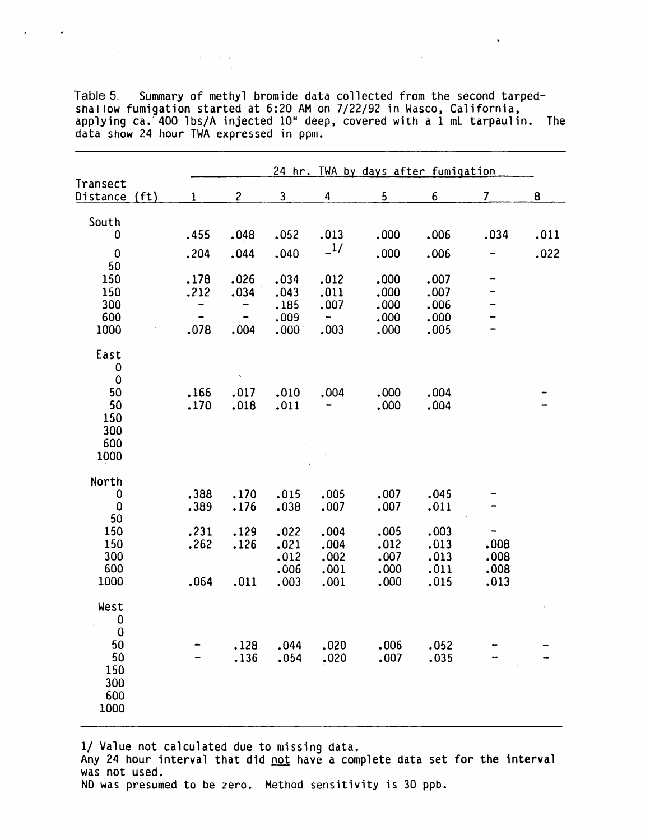|                                                                |                                                       |                                                           |                                                   |                                                          | 24 hr. TWA by days after fumigation  |                                      |                              |      |
|----------------------------------------------------------------|-------------------------------------------------------|-----------------------------------------------------------|---------------------------------------------------|----------------------------------------------------------|--------------------------------------|--------------------------------------|------------------------------|------|
| Transect<br>Distance (ft)                                      | 1.                                                    | $\overline{c}$                                            | $\overline{\mathbf{3}}$                           | 4                                                        | 5                                    | 6                                    | $\overline{\mathcal{L}}$     | 8    |
| South<br>0                                                     | .455                                                  | .048                                                      | .052                                              | .013                                                     | .000                                 | .006                                 | .034                         | .011 |
| $\bf{0}$<br>50                                                 | .204                                                  | .044                                                      | .040                                              | $\frac{1}{2}$                                            | .000                                 | .006                                 |                              | .022 |
| 150<br>150<br>300<br>600<br>1000                               | .178<br>.212<br>-<br>$\overline{\phantom{0}}$<br>.078 | .026<br>.034<br>-<br>$\qquad \qquad \blacksquare$<br>.004 | .034<br>.043<br>.185<br>.009<br>$.000 \, \degree$ | .012<br>.011<br>.007<br>$\overline{\phantom{a}}$<br>.003 | .000<br>.000<br>.000<br>.000<br>.000 | .007<br>.007<br>.006<br>.000<br>.005 |                              |      |
| East<br>0<br>$\bf{0}$<br>50<br>50<br>150<br>300<br>600<br>1000 | .166<br>.170                                          | .017<br>.018                                              | .010<br>.011                                      | .004                                                     | .000<br>.000                         | .004<br>.004                         |                              |      |
| North<br>0<br>0                                                | .388<br>.389                                          | .170<br>.176                                              | .015<br>.038                                      | .005<br>.007                                             | .007<br>.007                         | .045<br>.011                         |                              |      |
| 50<br>150<br>150<br>300<br>600<br>1000                         | .231<br>.262<br>.064                                  | .129<br>.126<br>.011                                      | .022<br>.021<br>.012<br>.006<br>.003              | .004<br>.004<br>.002<br>.001<br>.001                     | .005<br>.012<br>.007<br>.000<br>.000 | .003<br>.013<br>.013<br>.011<br>.015 | .008<br>.008<br>.008<br>.013 |      |
| West<br>0<br>$\bf{0}$                                          |                                                       |                                                           |                                                   |                                                          |                                      |                                      |                              |      |
| 50<br>50<br>150<br>300<br>600<br>1000                          |                                                       | .128<br>.136                                              | .044<br>.054                                      | .020<br>.020                                             | .006<br>.007                         | .052<br>.035                         |                              |      |

Table 5. Summary of methyl bromide data collected from the second tarpedsna1 low fumigation started at 6:20 AM on 7/22/92 in Wasco, California. applying ca.<sup>7</sup>400 lbs/A injected 10<sup>H</sup> deep, covered with a 1 mL tarpaulin. The data show 24 hour TWA expressed in ppm.

 $\mathcal{A}^{\mathcal{A}}$  and  $\mathcal{A}^{\mathcal{A}}$  and  $\mathcal{A}^{\mathcal{A}}$ 

 $\bar{\mathbf{v}}$ 

1/ Value not calculated due to missing data.

Any 24 hour interval that did not have a complete data set for the interval was not used.

NO was presumed to be zero. Method sensitivity is 30 ppb.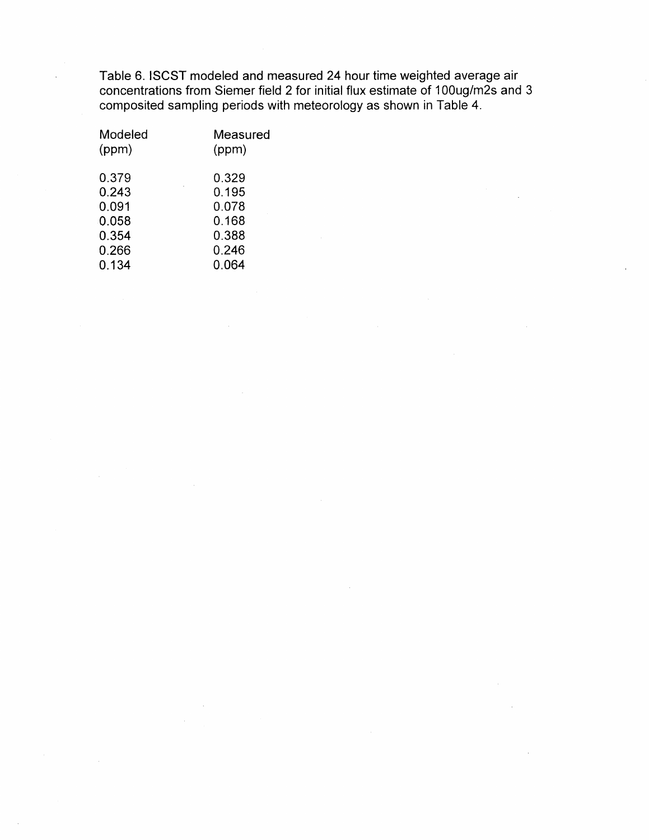Table 6. ISCST modeled and measured 24 hour time weighted average air concentrations from Siemer field 2 for initial flux estimate of 100ug/m2s and 3 composited sampling periods with meteorology as shown in Table 4.

| Modeled | Measured |
|---------|----------|
| (ppm)   | (ppm)    |
| 0.379   | 0.329    |
| 0.243   | 0.195    |
| 0.091   | 0.078    |
| 0.058   | 0.168    |
| 0.354   | 0.388    |
| 0.266   | 0.246    |
| 0.134   | 0.064    |
|         |          |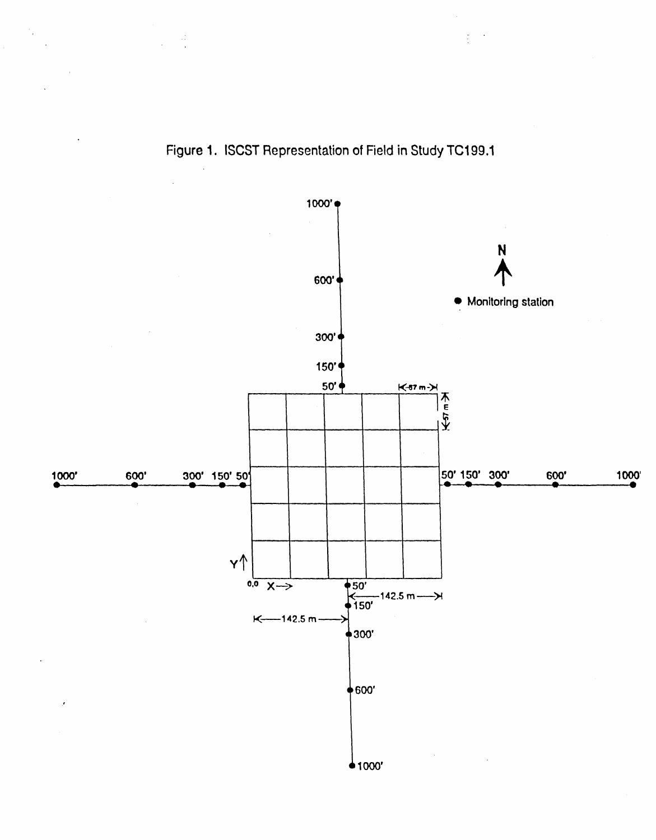

Figure 1. ISCST Representation of Field in Study TC199.1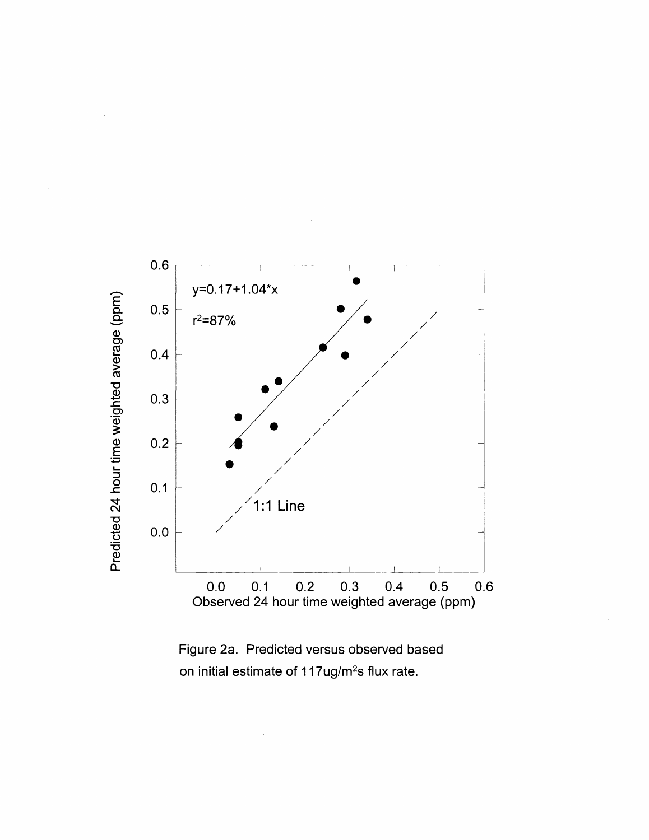

Figure 2a. Predicted versus observed based on initial estimate of 117ug/m<sup>2</sup>s flux rate.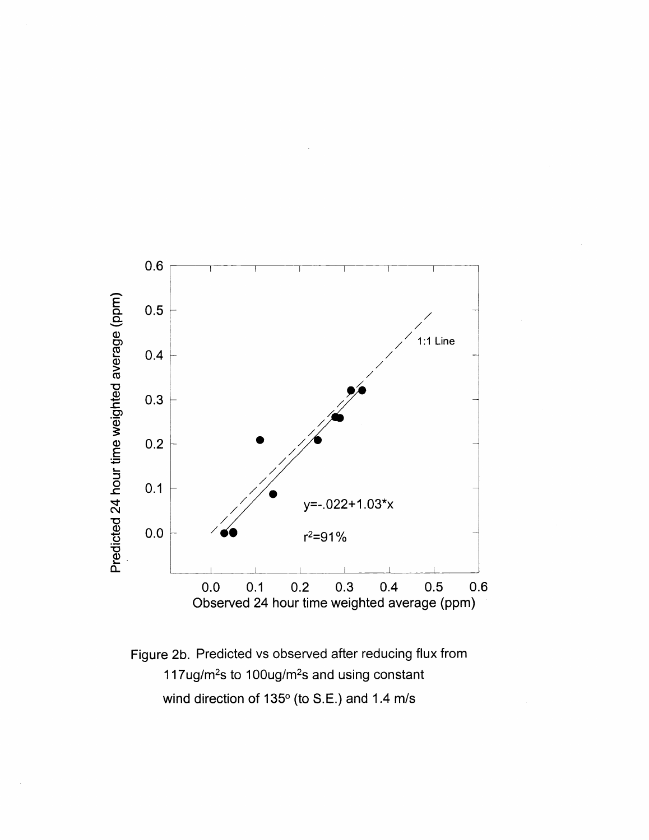